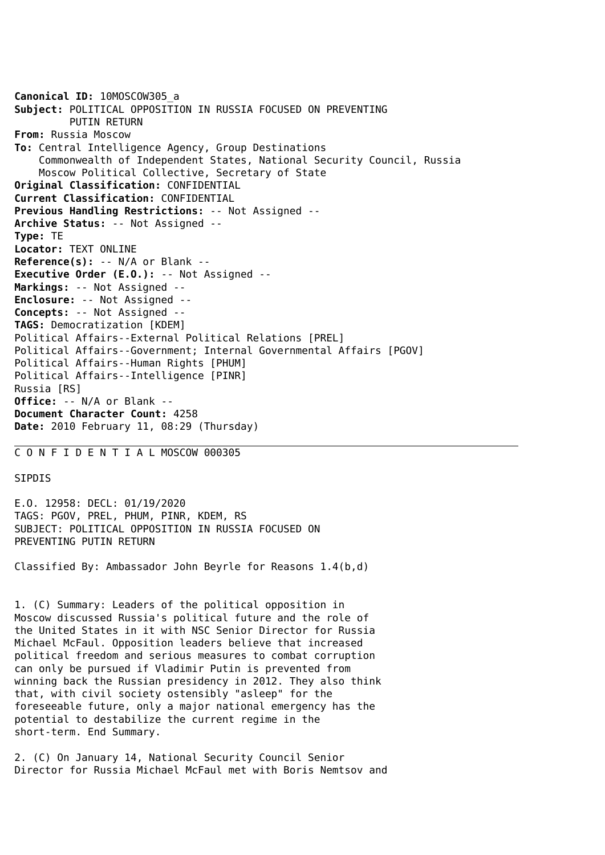**Canonical ID:** 10MOSCOW305\_a **Subject:** POLITICAL OPPOSITION IN RUSSIA FOCUSED ON PREVENTING PUTIN RETURN **From:** Russia Moscow **To:** Central Intelligence Agency, Group Destinations Commonwealth of Independent States, National Security Council, Russia Moscow Political Collective, Secretary of State **Original Classification:** CONFIDENTIAL **Current Classification:** CONFIDENTIAL **Previous Handling Restrictions:** -- Not Assigned -- **Archive Status:** -- Not Assigned -- **Type:** TE **Locator:** TEXT ONLINE **Reference(s):** -- N/A or Blank -- **Executive Order (E.O.):** -- Not Assigned -- **Markings:** -- Not Assigned -- **Enclosure:** -- Not Assigned -- **Concepts:** -- Not Assigned -- **TAGS:** Democratization [KDEM] Political Affairs--External Political Relations [PREL] Political Affairs--Government; Internal Governmental Affairs [PGOV] Political Affairs--Human Rights [PHUM] Political Affairs--Intelligence [PINR] Russia [RS] **Office:** -- N/A or Blank -- **Document Character Count:** 4258 **Date:** 2010 February 11, 08:29 (Thursday)

## C O N F I D E N T I A L MOSCOW 000305

## SIPDIS

E.O. 12958: DECL: 01/19/2020 TAGS: PGOV, PREL, PHUM, PINR, KDEM, RS SUBJECT: POLITICAL OPPOSITION IN RUSSIA FOCUSED ON PREVENTING PUTIN RETURN

Classified By: Ambassador John Beyrle for Reasons 1.4(b,d)

1. (C) Summary: Leaders of the political opposition in Moscow discussed Russia's political future and the role of the United States in it with NSC Senior Director for Russia Michael McFaul. Opposition leaders believe that increased political freedom and serious measures to combat corruption can only be pursued if Vladimir Putin is prevented from winning back the Russian presidency in 2012. They also think that, with civil society ostensibly "asleep" for the foreseeable future, only a major national emergency has the potential to destabilize the current regime in the short-term. End Summary.

2. (C) On January 14, National Security Council Senior Director for Russia Michael McFaul met with Boris Nemtsov and